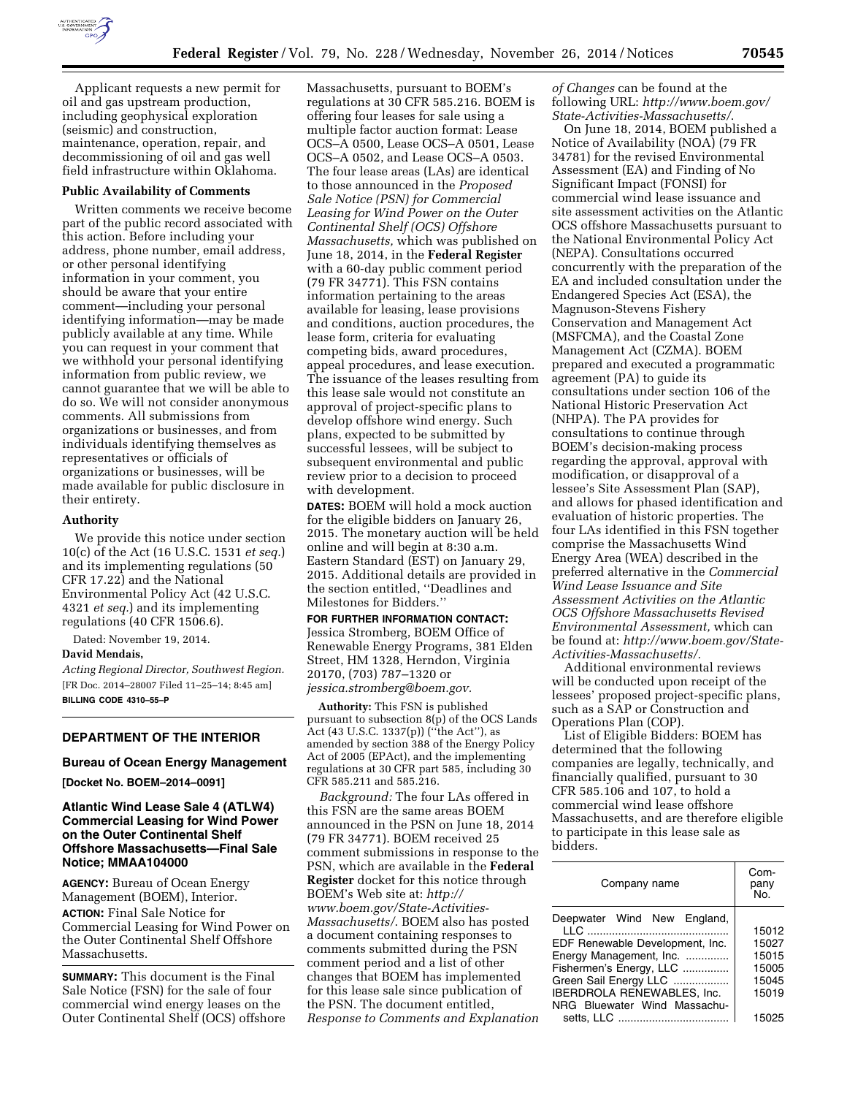

Applicant requests a new permit for oil and gas upstream production, including geophysical exploration (seismic) and construction, maintenance, operation, repair, and decommissioning of oil and gas well field infrastructure within Oklahoma.

#### **Public Availability of Comments**

Written comments we receive become part of the public record associated with this action. Before including your address, phone number, email address, or other personal identifying information in your comment, you should be aware that your entire comment—including your personal identifying information—may be made publicly available at any time. While you can request in your comment that we withhold your personal identifying information from public review, we cannot guarantee that we will be able to do so. We will not consider anonymous comments. All submissions from organizations or businesses, and from individuals identifying themselves as representatives or officials of organizations or businesses, will be made available for public disclosure in their entirety.

#### **Authority**

We provide this notice under section 10(c) of the Act (16 U.S.C. 1531 *et seq.*) and its implementing regulations (50 CFR 17.22) and the National Environmental Policy Act (42 U.S.C. 4321 *et seq.*) and its implementing regulations (40 CFR 1506.6).

Dated: November 19, 2014.

### **David Mendais,**

*Acting Regional Director, Southwest Region.*  [FR Doc. 2014–28007 Filed 11–25–14; 8:45 am] **BILLING CODE 4310–55–P** 

## **DEPARTMENT OF THE INTERIOR**

#### **Bureau of Ocean Energy Management**

**[Docket No. BOEM–2014–0091]** 

## **Atlantic Wind Lease Sale 4 (ATLW4) Commercial Leasing for Wind Power on the Outer Continental Shelf Offshore Massachusetts—Final Sale Notice; MMAA104000**

**AGENCY:** Bureau of Ocean Energy Management (BOEM), Interior. **ACTION:** Final Sale Notice for Commercial Leasing for Wind Power on the Outer Continental Shelf Offshore Massachusetts.

**SUMMARY:** This document is the Final Sale Notice (FSN) for the sale of four commercial wind energy leases on the Outer Continental Shelf (OCS) offshore

Massachusetts, pursuant to BOEM's regulations at 30 CFR 585.216. BOEM is offering four leases for sale using a multiple factor auction format: Lease OCS–A 0500, Lease OCS–A 0501, Lease OCS–A 0502, and Lease OCS–A 0503. The four lease areas (LAs) are identical to those announced in the *Proposed Sale Notice (PSN) for Commercial Leasing for Wind Power on the Outer Continental Shelf (OCS) Offshore Massachusetts,* which was published on June 18, 2014, in the **Federal Register**  with a 60-day public comment period (79 FR 34771). This FSN contains information pertaining to the areas available for leasing, lease provisions and conditions, auction procedures, the lease form, criteria for evaluating competing bids, award procedures, appeal procedures, and lease execution. The issuance of the leases resulting from this lease sale would not constitute an approval of project-specific plans to develop offshore wind energy. Such plans, expected to be submitted by successful lessees, will be subject to subsequent environmental and public review prior to a decision to proceed with development.

**DATES:** BOEM will hold a mock auction for the eligible bidders on January 26, 2015. The monetary auction will be held online and will begin at 8:30 a.m. Eastern Standard (EST) on January 29, 2015. Additional details are provided in the section entitled, ''Deadlines and Milestones for Bidders.''

## **FOR FURTHER INFORMATION CONTACT:**

Jessica Stromberg, BOEM Office of Renewable Energy Programs, 381 Elden Street, HM 1328, Herndon, Virginia 20170, (703) 787–1320 or *[jessica.stromberg@boem.gov.](mailto:jessica.stromberg@boem.gov)* 

**Authority:** This FSN is published pursuant to subsection 8(p) of the OCS Lands Act (43 U.S.C. 1337(p)) ("the Act"), as amended by section 388 of the Energy Policy Act of 2005 (EPAct), and the implementing regulations at 30 CFR part 585, including 30 CFR 585.211 and 585.216.

*Background:* The four LAs offered in this FSN are the same areas BOEM announced in the PSN on June 18, 2014 (79 FR 34771). BOEM received 25 comment submissions in response to the PSN, which are available in the **Federal Register** docket for this notice through BOEM's Web site at: *[http://](http://www.boem.gov/State-Activities-Massachusetts/) [www.boem.gov/State-Activities-](http://www.boem.gov/State-Activities-Massachusetts/)[Massachusetts/](http://www.boem.gov/State-Activities-Massachusetts/)*. BOEM also has posted a document containing responses to comments submitted during the PSN comment period and a list of other changes that BOEM has implemented for this lease sale since publication of the PSN. The document entitled, *Response to Comments and Explanation*  *of Changes* can be found at the following URL: *[http://www.boem.gov/](http://www.boem.gov/State-Activities-Massachusetts/) [State-Activities-Massachusetts/](http://www.boem.gov/State-Activities-Massachusetts/)*.

On June 18, 2014, BOEM published a Notice of Availability (NOA) (79 FR 34781) for the revised Environmental Assessment (EA) and Finding of No Significant Impact (FONSI) for commercial wind lease issuance and site assessment activities on the Atlantic OCS offshore Massachusetts pursuant to the National Environmental Policy Act (NEPA). Consultations occurred concurrently with the preparation of the EA and included consultation under the Endangered Species Act (ESA), the Magnuson-Stevens Fishery Conservation and Management Act (MSFCMA), and the Coastal Zone Management Act (CZMA). BOEM prepared and executed a programmatic agreement (PA) to guide its consultations under section 106 of the National Historic Preservation Act (NHPA). The PA provides for consultations to continue through BOEM's decision-making process regarding the approval, approval with modification, or disapproval of a lessee's Site Assessment Plan (SAP), and allows for phased identification and evaluation of historic properties. The four LAs identified in this FSN together comprise the Massachusetts Wind Energy Area (WEA) described in the preferred alternative in the *Commercial Wind Lease Issuance and Site Assessment Activities on the Atlantic OCS Offshore Massachusetts Revised Environmental Assessment,* which can be found at: *[http://www.boem.gov/State-](http://www.boem.gov/State-Activities-Massachusetts/)[Activities-Massachusetts/.](http://www.boem.gov/State-Activities-Massachusetts/)* 

Additional environmental reviews will be conducted upon receipt of the lessees' proposed project-specific plans, such as a SAP or Construction and Operations Plan (COP).

List of Eligible Bidders: BOEM has determined that the following companies are legally, technically, and financially qualified, pursuant to 30 CFR 585.106 and 107, to hold a commercial wind lease offshore Massachusetts, and are therefore eligible to participate in this lease sale as bidders.

| Company name                      | Com-<br>pany<br>No. |
|-----------------------------------|---------------------|
| Deepwater Wind New England,       |                     |
|                                   | 15012               |
| EDF Renewable Development, Inc.   | 15027               |
| Energy Management, Inc.           | 15015               |
| Fishermen's Energy, LLC           | 15005               |
| Green Sail Energy LLC             | 15045               |
| <b>IBERDROLA RENEWABLES. Inc.</b> | 15019               |
| NRG Bluewater Wind Massachu-      |                     |
|                                   | 15025               |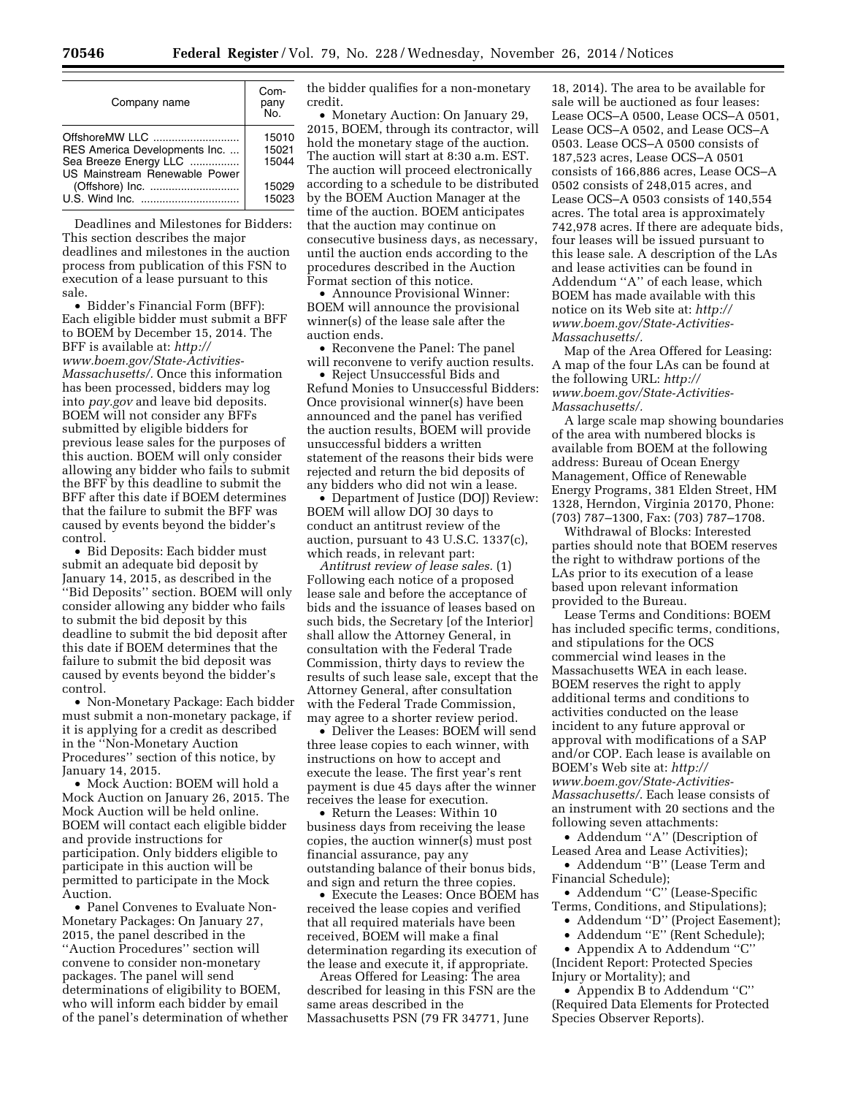| Company name                                                             | Com-<br>pany<br>No.     |
|--------------------------------------------------------------------------|-------------------------|
| OffshoreMW LLC<br>RES America Developments Inc.<br>Sea Breeze Energy LLC | 15010<br>15021<br>15044 |
| US Mainstream Renewable Power<br>(Offshore) Inc.                         | 15029<br>15023          |

Deadlines and Milestones for Bidders: This section describes the major deadlines and milestones in the auction process from publication of this FSN to execution of a lease pursuant to this sale.

• Bidder's Financial Form (BFF): Each eligible bidder must submit a BFF to BOEM by December 15, 2014. The BFF is available at: *[http://](http://www.boem.gov/State-Activities-Massachusetts/) [www.boem.gov/State-Activities-](http://www.boem.gov/State-Activities-Massachusetts/)[Massachusetts/.](http://www.boem.gov/State-Activities-Massachusetts/)* Once this information has been processed, bidders may log into *pay.gov* and leave bid deposits. BOEM will not consider any BFFs submitted by eligible bidders for previous lease sales for the purposes of this auction. BOEM will only consider allowing any bidder who fails to submit the BFF by this deadline to submit the BFF after this date if BOEM determines that the failure to submit the BFF was caused by events beyond the bidder's control.

• Bid Deposits: Each bidder must submit an adequate bid deposit by January 14, 2015, as described in the ''Bid Deposits'' section. BOEM will only consider allowing any bidder who fails to submit the bid deposit by this deadline to submit the bid deposit after this date if BOEM determines that the failure to submit the bid deposit was caused by events beyond the bidder's control.

• Non-Monetary Package: Each bidder must submit a non-monetary package, if it is applying for a credit as described in the ''Non-Monetary Auction Procedures'' section of this notice, by January 14, 2015.

• Mock Auction: BOEM will hold a Mock Auction on January 26, 2015. The Mock Auction will be held online. BOEM will contact each eligible bidder and provide instructions for participation. Only bidders eligible to participate in this auction will be permitted to participate in the Mock Auction.

• Panel Convenes to Evaluate Non-Monetary Packages: On January 27, 2015, the panel described in the ''Auction Procedures'' section will convene to consider non-monetary packages. The panel will send determinations of eligibility to BOEM, who will inform each bidder by email of the panel's determination of whether the bidder qualifies for a non-monetary credit.

• Monetary Auction: On January 29, 2015, BOEM, through its contractor, will hold the monetary stage of the auction. The auction will start at 8:30 a.m. EST. The auction will proceed electronically according to a schedule to be distributed by the BOEM Auction Manager at the time of the auction. BOEM anticipates that the auction may continue on consecutive business days, as necessary, until the auction ends according to the procedures described in the Auction Format section of this notice.

• Announce Provisional Winner: BOEM will announce the provisional winner(s) of the lease sale after the auction ends.

• Reconvene the Panel: The panel will reconvene to verify auction results.

• Reject Unsuccessful Bids and Refund Monies to Unsuccessful Bidders: Once provisional winner(s) have been announced and the panel has verified the auction results, BOEM will provide unsuccessful bidders a written statement of the reasons their bids were rejected and return the bid deposits of any bidders who did not win a lease.

• Department of Justice (DOJ) Review: BOEM will allow DOJ 30 days to conduct an antitrust review of the auction, pursuant to 43 U.S.C. 1337(c), which reads, in relevant part:

*Antitrust review of lease sales.* (1) Following each notice of a proposed lease sale and before the acceptance of bids and the issuance of leases based on such bids, the Secretary [of the Interior] shall allow the Attorney General, in consultation with the Federal Trade Commission, thirty days to review the results of such lease sale, except that the Attorney General, after consultation with the Federal Trade Commission, may agree to a shorter review period.

• Deliver the Leases: BOEM will send three lease copies to each winner, with instructions on how to accept and execute the lease. The first year's rent payment is due 45 days after the winner receives the lease for execution.

• Return the Leases: Within 10 business days from receiving the lease copies, the auction winner(s) must post financial assurance, pay any outstanding balance of their bonus bids, and sign and return the three copies.

• Execute the Leases: Once BOEM has received the lease copies and verified that all required materials have been received, BOEM will make a final determination regarding its execution of the lease and execute it, if appropriate.

Areas Offered for Leasing: The area described for leasing in this FSN are the same areas described in the Massachusetts PSN (79 FR 34771, June

18, 2014). The area to be available for sale will be auctioned as four leases: Lease OCS–A 0500, Lease OCS–A 0501, Lease OCS–A 0502, and Lease OCS–A 0503. Lease OCS–A 0500 consists of 187,523 acres, Lease OCS–A 0501 consists of 166,886 acres, Lease OCS–A 0502 consists of 248,015 acres, and Lease OCS–A 0503 consists of 140,554 acres. The total area is approximately 742,978 acres. If there are adequate bids, four leases will be issued pursuant to this lease sale. A description of the LAs and lease activities can be found in Addendum ''A'' of each lease, which BOEM has made available with this notice on its Web site at: *[http://](http://www.boem.gov/State-Activities-Massachusetts/) [www.boem.gov/State-Activities-](http://www.boem.gov/State-Activities-Massachusetts/)[Massachusetts/.](http://www.boem.gov/State-Activities-Massachusetts/)* 

Map of the Area Offered for Leasing: A map of the four LAs can be found at the following URL: *[http://](http://www.boem.gov/State-Activities-Massachusetts/) [www.boem.gov/State-Activities-](http://www.boem.gov/State-Activities-Massachusetts/)[Massachusetts/.](http://www.boem.gov/State-Activities-Massachusetts/)* 

A large scale map showing boundaries of the area with numbered blocks is available from BOEM at the following address: Bureau of Ocean Energy Management, Office of Renewable Energy Programs, 381 Elden Street, HM 1328, Herndon, Virginia 20170, Phone: (703) 787–1300, Fax: (703) 787–1708.

Withdrawal of Blocks: Interested parties should note that BOEM reserves the right to withdraw portions of the LAs prior to its execution of a lease based upon relevant information provided to the Bureau.

Lease Terms and Conditions: BOEM has included specific terms, conditions, and stipulations for the OCS commercial wind leases in the Massachusetts WEA in each lease. BOEM reserves the right to apply additional terms and conditions to activities conducted on the lease incident to any future approval or approval with modifications of a SAP and/or COP. Each lease is available on BOEM's Web site at: *[http://](http://www.boem.gov/State-Activities-Massachusetts/) [www.boem.gov/State-Activities-](http://www.boem.gov/State-Activities-Massachusetts/)[Massachusetts/](http://www.boem.gov/State-Activities-Massachusetts/)*. Each lease consists of an instrument with 20 sections and the following seven attachments:

• Addendum ''A'' (Description of Leased Area and Lease Activities);

• Addendum ''B'' (Lease Term and Financial Schedule);

• Addendum ''C'' (Lease-Specific Terms, Conditions, and Stipulations);

• Addendum ''D'' (Project Easement);

• Addendum ''E'' (Rent Schedule);

• Appendix A to Addendum ''C'' (Incident Report: Protected Species Injury or Mortality); and

• Appendix B to Addendum ''C'' (Required Data Elements for Protected Species Observer Reports).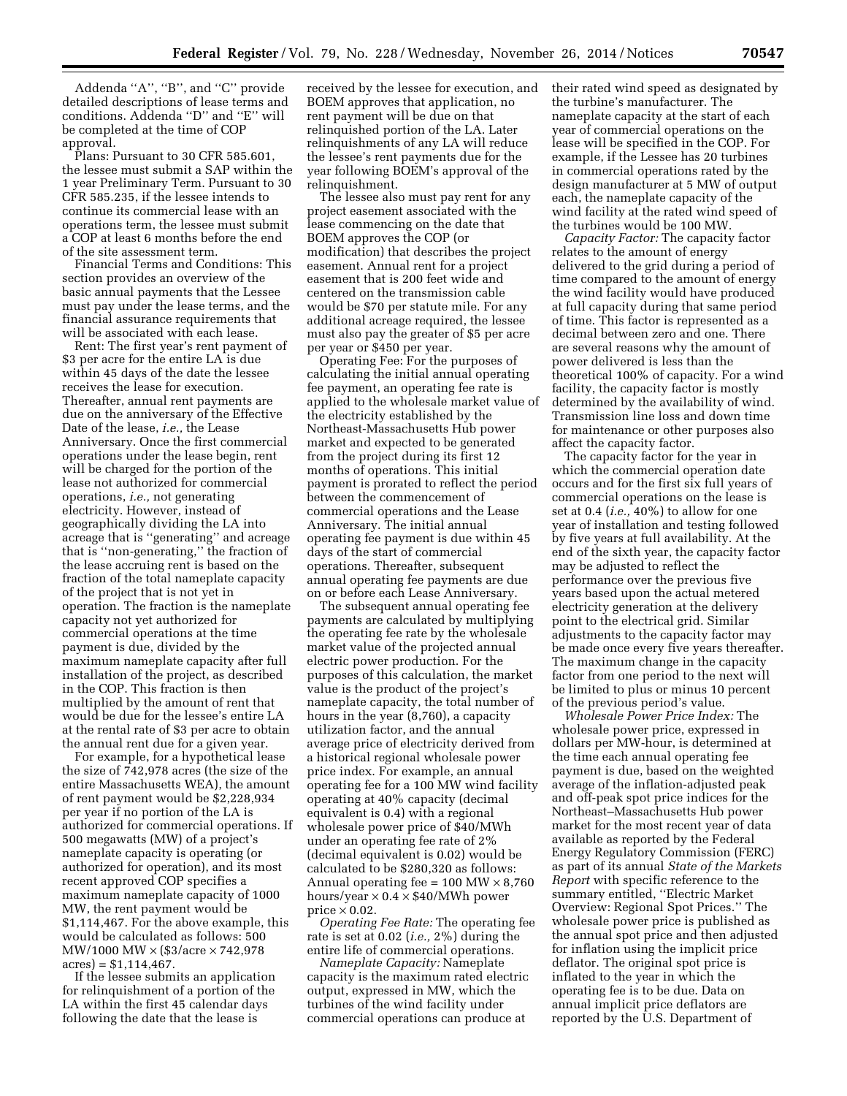Addenda ''A'', ''B'', and ''C'' provide detailed descriptions of lease terms and conditions. Addenda ''D'' and ''E'' will be completed at the time of COP approval.

Plans: Pursuant to 30 CFR 585.601, the lessee must submit a SAP within the 1 year Preliminary Term. Pursuant to 30 CFR 585.235, if the lessee intends to continue its commercial lease with an operations term, the lessee must submit a COP at least 6 months before the end of the site assessment term.

Financial Terms and Conditions: This section provides an overview of the basic annual payments that the Lessee must pay under the lease terms, and the financial assurance requirements that will be associated with each lease.

Rent: The first year's rent payment of \$3 per acre for the entire LA is due within 45 days of the date the lessee receives the lease for execution. Thereafter, annual rent payments are due on the anniversary of the Effective Date of the lease, *i.e.,* the Lease Anniversary. Once the first commercial operations under the lease begin, rent will be charged for the portion of the lease not authorized for commercial operations, *i.e.,* not generating electricity. However, instead of geographically dividing the LA into acreage that is ''generating'' and acreage that is ''non-generating,'' the fraction of the lease accruing rent is based on the fraction of the total nameplate capacity of the project that is not yet in operation. The fraction is the nameplate capacity not yet authorized for commercial operations at the time payment is due, divided by the maximum nameplate capacity after full installation of the project, as described in the COP. This fraction is then multiplied by the amount of rent that would be due for the lessee's entire LA at the rental rate of \$3 per acre to obtain the annual rent due for a given year.

For example, for a hypothetical lease the size of 742,978 acres (the size of the entire Massachusetts WEA), the amount of rent payment would be \$2,228,934 per year if no portion of the LA is authorized for commercial operations. If 500 megawatts (MW) of a project's nameplate capacity is operating (or authorized for operation), and its most recent approved COP specifies a maximum nameplate capacity of 1000 MW, the rent payment would be \$1,114,467. For the above example, this would be calculated as follows: 500 MW/1000 MW × (\$3/acre × 742,978  $acres$ ) = \$1,114,467.

If the lessee submits an application for relinquishment of a portion of the LA within the first 45 calendar days following the date that the lease is

received by the lessee for execution, and BOEM approves that application, no rent payment will be due on that relinquished portion of the LA. Later relinquishments of any LA will reduce the lessee's rent payments due for the year following BOEM's approval of the relinquishment.

The lessee also must pay rent for any project easement associated with the lease commencing on the date that BOEM approves the COP (or modification) that describes the project easement. Annual rent for a project easement that is 200 feet wide and centered on the transmission cable would be \$70 per statute mile. For any additional acreage required, the lessee must also pay the greater of \$5 per acre per year or \$450 per year.

Operating Fee: For the purposes of calculating the initial annual operating fee payment, an operating fee rate is applied to the wholesale market value of the electricity established by the Northeast-Massachusetts Hub power market and expected to be generated from the project during its first 12 months of operations. This initial payment is prorated to reflect the period between the commencement of commercial operations and the Lease Anniversary. The initial annual operating fee payment is due within 45 days of the start of commercial operations. Thereafter, subsequent annual operating fee payments are due on or before each Lease Anniversary.

The subsequent annual operating fee payments are calculated by multiplying the operating fee rate by the wholesale market value of the projected annual electric power production. For the purposes of this calculation, the market value is the product of the project's nameplate capacity, the total number of hours in the year (8,760), a capacity utilization factor, and the annual average price of electricity derived from a historical regional wholesale power price index. For example, an annual operating fee for a 100 MW wind facility operating at 40% capacity (decimal equivalent is 0.4) with a regional wholesale power price of \$40/MWh under an operating fee rate of 2% (decimal equivalent is 0.02) would be calculated to be \$280,320 as follows: Annual operating fee =  $100 \text{ MW} \times 8,760$ hours/year  $\times$  0.4  $\times$  \$40/MWh power price  $\times$  0.02.

*Operating Fee Rate:* The operating fee rate is set at 0.02 (*i.e.,* 2%) during the entire life of commercial operations.

*Nameplate Capacity:* Nameplate capacity is the maximum rated electric output, expressed in MW, which the turbines of the wind facility under commercial operations can produce at

their rated wind speed as designated by the turbine's manufacturer. The nameplate capacity at the start of each year of commercial operations on the lease will be specified in the COP. For example, if the Lessee has 20 turbines in commercial operations rated by the design manufacturer at 5 MW of output each, the nameplate capacity of the wind facility at the rated wind speed of the turbines would be 100 MW.

*Capacity Factor:* The capacity factor relates to the amount of energy delivered to the grid during a period of time compared to the amount of energy the wind facility would have produced at full capacity during that same period of time. This factor is represented as a decimal between zero and one. There are several reasons why the amount of power delivered is less than the theoretical 100% of capacity. For a wind facility, the capacity factor is mostly determined by the availability of wind. Transmission line loss and down time for maintenance or other purposes also affect the capacity factor.

The capacity factor for the year in which the commercial operation date occurs and for the first six full years of commercial operations on the lease is set at 0.4 (*i.e.,* 40%) to allow for one year of installation and testing followed by five years at full availability. At the end of the sixth year, the capacity factor may be adjusted to reflect the performance over the previous five years based upon the actual metered electricity generation at the delivery point to the electrical grid. Similar adjustments to the capacity factor may be made once every five years thereafter. The maximum change in the capacity factor from one period to the next will be limited to plus or minus 10 percent of the previous period's value.

*Wholesale Power Price Index:* The wholesale power price, expressed in dollars per MW-hour, is determined at the time each annual operating fee payment is due, based on the weighted average of the inflation-adjusted peak and off-peak spot price indices for the Northeast–Massachusetts Hub power market for the most recent year of data available as reported by the Federal Energy Regulatory Commission (FERC) as part of its annual *State of the Markets Report* with specific reference to the summary entitled, ''Electric Market Overview: Regional Spot Prices.'' The wholesale power price is published as the annual spot price and then adjusted for inflation using the implicit price deflator. The original spot price is inflated to the year in which the operating fee is to be due. Data on annual implicit price deflators are reported by the U.S. Department of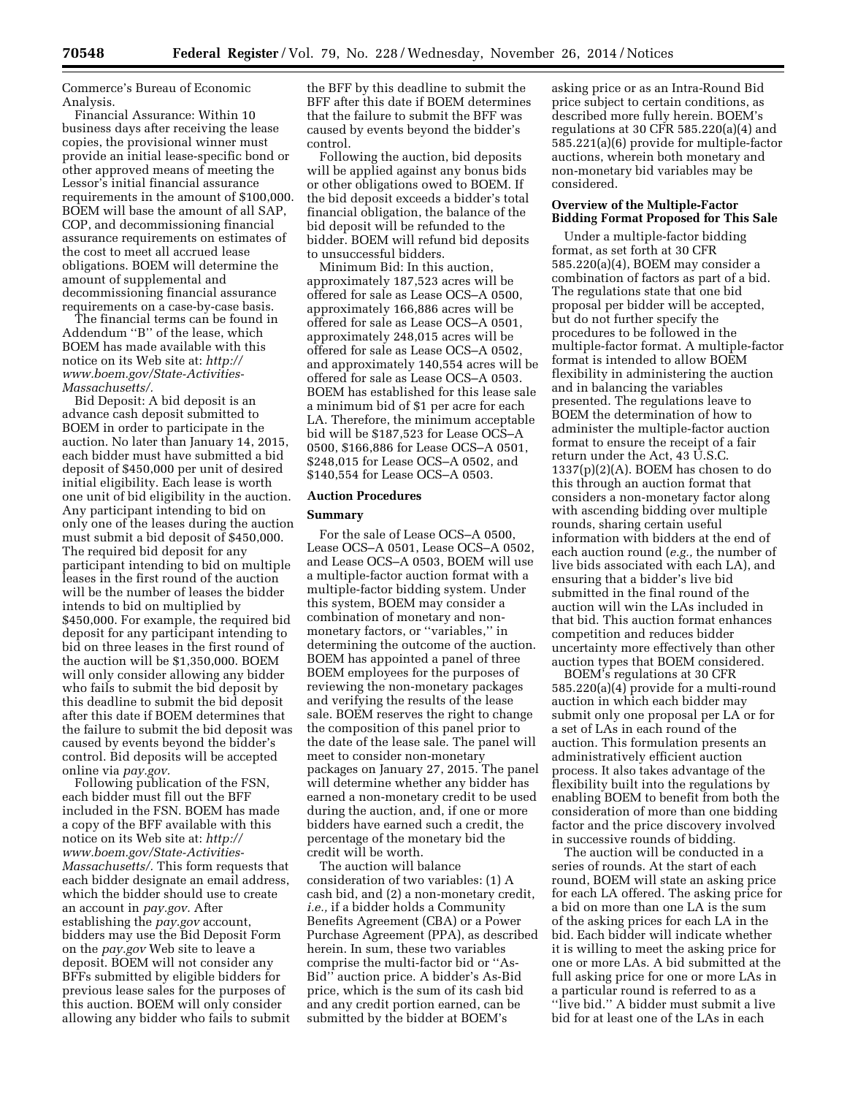Commerce's Bureau of Economic Analysis.

Financial Assurance: Within 10 business days after receiving the lease copies, the provisional winner must provide an initial lease-specific bond or other approved means of meeting the Lessor's initial financial assurance requirements in the amount of \$100,000. BOEM will base the amount of all SAP, COP, and decommissioning financial assurance requirements on estimates of the cost to meet all accrued lease obligations. BOEM will determine the amount of supplemental and decommissioning financial assurance requirements on a case-by-case basis.

The financial terms can be found in Addendum ''B'' of the lease, which BOEM has made available with this notice on its Web site at: *[http://](http://www.boem.gov/State-Activities-Massachusetts/) [www.boem.gov/State-Activities-](http://www.boem.gov/State-Activities-Massachusetts/)[Massachusetts/.](http://www.boem.gov/State-Activities-Massachusetts/)* 

Bid Deposit: A bid deposit is an advance cash deposit submitted to BOEM in order to participate in the auction. No later than January 14, 2015, each bidder must have submitted a bid deposit of \$450,000 per unit of desired initial eligibility. Each lease is worth one unit of bid eligibility in the auction. Any participant intending to bid on only one of the leases during the auction must submit a bid deposit of \$450,000. The required bid deposit for any participant intending to bid on multiple leases in the first round of the auction will be the number of leases the bidder intends to bid on multiplied by \$450,000. For example, the required bid deposit for any participant intending to bid on three leases in the first round of the auction will be \$1,350,000. BOEM will only consider allowing any bidder who fails to submit the bid deposit by this deadline to submit the bid deposit after this date if BOEM determines that the failure to submit the bid deposit was caused by events beyond the bidder's control. Bid deposits will be accepted online via *pay.gov.* 

Following publication of the FSN, each bidder must fill out the BFF included in the FSN. BOEM has made a copy of the BFF available with this notice on its Web site at: *[http://](http://www.boem.gov/State-Activities-Massachusetts/) [www.boem.gov/State-Activities-](http://www.boem.gov/State-Activities-Massachusetts/)[Massachusetts/.](http://www.boem.gov/State-Activities-Massachusetts/)* This form requests that each bidder designate an email address, which the bidder should use to create an account in *pay.gov.* After establishing the *pay.gov* account, bidders may use the Bid Deposit Form on the *pay.gov* Web site to leave a deposit. BOEM will not consider any BFFs submitted by eligible bidders for previous lease sales for the purposes of this auction. BOEM will only consider allowing any bidder who fails to submit the BFF by this deadline to submit the BFF after this date if BOEM determines that the failure to submit the BFF was caused by events beyond the bidder's control.

Following the auction, bid deposits will be applied against any bonus bids or other obligations owed to BOEM. If the bid deposit exceeds a bidder's total financial obligation, the balance of the bid deposit will be refunded to the bidder. BOEM will refund bid deposits to unsuccessful bidders.

Minimum Bid: In this auction, approximately 187,523 acres will be offered for sale as Lease OCS–A 0500, approximately 166,886 acres will be offered for sale as Lease OCS–A 0501, approximately 248,015 acres will be offered for sale as Lease OCS–A 0502, and approximately 140,554 acres will be offered for sale as Lease OCS–A 0503. BOEM has established for this lease sale a minimum bid of \$1 per acre for each LA. Therefore, the minimum acceptable bid will be \$187,523 for Lease OCS–A 0500, \$166,886 for Lease OCS–A 0501, \$248,015 for Lease OCS–A 0502, and \$140,554 for Lease OCS–A 0503.

## **Auction Procedures**

## **Summary**

For the sale of Lease OCS–A 0500, Lease OCS–A 0501, Lease OCS–A 0502, and Lease OCS–A 0503, BOEM will use a multiple-factor auction format with a multiple-factor bidding system. Under this system, BOEM may consider a combination of monetary and nonmonetary factors, or ''variables,'' in determining the outcome of the auction. BOEM has appointed a panel of three BOEM employees for the purposes of reviewing the non-monetary packages and verifying the results of the lease sale. BOEM reserves the right to change the composition of this panel prior to the date of the lease sale. The panel will meet to consider non-monetary packages on January 27, 2015. The panel will determine whether any bidder has earned a non-monetary credit to be used during the auction, and, if one or more bidders have earned such a credit, the percentage of the monetary bid the credit will be worth.

The auction will balance consideration of two variables: (1) A cash bid, and (2) a non-monetary credit, *i.e.,* if a bidder holds a Community Benefits Agreement (CBA) or a Power Purchase Agreement (PPA), as described herein. In sum, these two variables comprise the multi-factor bid or ''As-Bid'' auction price. A bidder's As-Bid price, which is the sum of its cash bid and any credit portion earned, can be submitted by the bidder at BOEM's

asking price or as an Intra-Round Bid price subject to certain conditions, as described more fully herein. BOEM's regulations at 30 CFR 585.220(a)(4) and 585.221(a)(6) provide for multiple-factor auctions, wherein both monetary and non-monetary bid variables may be considered.

## **Overview of the Multiple-Factor Bidding Format Proposed for This Sale**

Under a multiple-factor bidding format, as set forth at 30 CFR 585.220(a)(4), BOEM may consider a combination of factors as part of a bid. The regulations state that one bid proposal per bidder will be accepted, but do not further specify the procedures to be followed in the multiple-factor format. A multiple-factor format is intended to allow BOEM flexibility in administering the auction and in balancing the variables presented. The regulations leave to BOEM the determination of how to administer the multiple-factor auction format to ensure the receipt of a fair return under the Act, 43 U.S.C. 1337(p)(2)(A). BOEM has chosen to do this through an auction format that considers a non-monetary factor along with ascending bidding over multiple rounds, sharing certain useful information with bidders at the end of each auction round (*e.g.,* the number of live bids associated with each LA), and ensuring that a bidder's live bid submitted in the final round of the auction will win the LAs included in that bid. This auction format enhances competition and reduces bidder uncertainty more effectively than other auction types that BOEM considered.

BOEM's regulations at 30 CFR 585.220(a)(4) provide for a multi-round auction in which each bidder may submit only one proposal per LA or for a set of LAs in each round of the auction. This formulation presents an administratively efficient auction process. It also takes advantage of the flexibility built into the regulations by enabling BOEM to benefit from both the consideration of more than one bidding factor and the price discovery involved in successive rounds of bidding.

The auction will be conducted in a series of rounds. At the start of each round, BOEM will state an asking price for each LA offered. The asking price for a bid on more than one LA is the sum of the asking prices for each LA in the bid. Each bidder will indicate whether it is willing to meet the asking price for one or more LAs. A bid submitted at the full asking price for one or more LAs in a particular round is referred to as a ''live bid.'' A bidder must submit a live bid for at least one of the LAs in each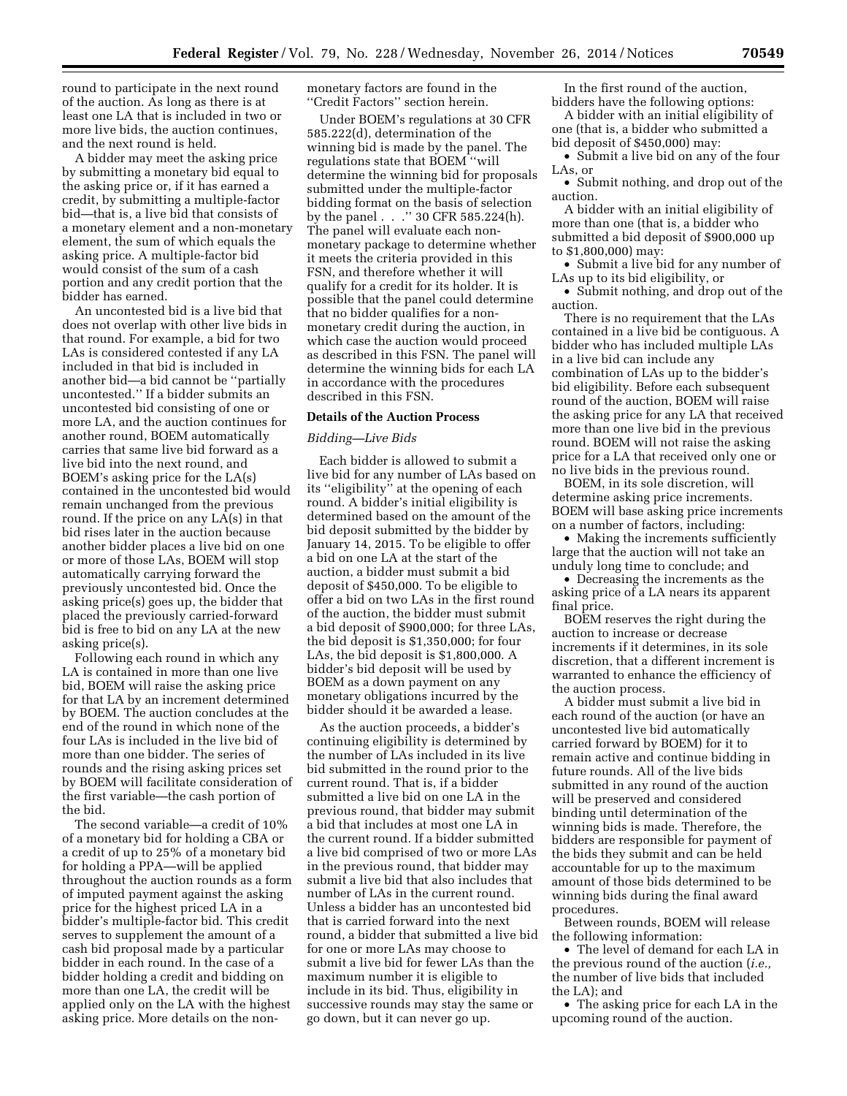round to participate in the next round of the auction. As long as there is at least one LA that is included in two or more live bids, the auction continues, and the next round is held.

A bidder may meet the asking price by submitting a monetary bid equal to the asking price or, if it has earned a credit, by submitting a multiple-factor bid—that is, a live bid that consists of a monetary element and a non-monetary element, the sum of which equals the asking price. A multiple-factor bid would consist of the sum of a cash portion and any credit portion that the bidder has earned.

An uncontested bid is a live bid that does not overlap with other live bids in that round. For example, a bid for two LAs is considered contested if any LA included in that bid is included in another bid—a bid cannot be ''partially uncontested.'' If a bidder submits an uncontested bid consisting of one or more LA, and the auction continues for another round, BOEM automatically carries that same live bid forward as a live bid into the next round, and BOEM's asking price for the LA(s) contained in the uncontested bid would remain unchanged from the previous round. If the price on any LA(s) in that bid rises later in the auction because another bidder places a live bid on one or more of those LAs, BOEM will stop automatically carrying forward the previously uncontested bid. Once the asking price(s) goes up, the bidder that placed the previously carried-forward bid is free to bid on any LA at the new asking price(s).

Following each round in which any LA is contained in more than one live bid, BOEM will raise the asking price for that LA by an increment determined by BOEM. The auction concludes at the end of the round in which none of the four LAs is included in the live bid of more than one bidder. The series of rounds and the rising asking prices set by BOEM will facilitate consideration of the first variable—the cash portion of the bid.

The second variable—a credit of 10% of a monetary bid for holding a CBA or a credit of up to 25% of a monetary bid for holding a PPA—will be applied throughout the auction rounds as a form of imputed payment against the asking price for the highest priced LA in a bidder's multiple-factor bid. This credit serves to supplement the amount of a cash bid proposal made by a particular bidder in each round. In the case of a bidder holding a credit and bidding on more than one LA, the credit will be applied only on the LA with the highest asking price. More details on the nonmonetary factors are found in the ''Credit Factors'' section herein.

Under BOEM's regulations at 30 CFR 585.222(d), determination of the winning bid is made by the panel. The regulations state that BOEM ''will determine the winning bid for proposals submitted under the multiple-factor bidding format on the basis of selection by the panel . . .'' 30 CFR 585.224(h). The panel will evaluate each nonmonetary package to determine whether it meets the criteria provided in this FSN, and therefore whether it will qualify for a credit for its holder. It is possible that the panel could determine that no bidder qualifies for a nonmonetary credit during the auction, in which case the auction would proceed as described in this FSN. The panel will determine the winning bids for each LA in accordance with the procedures described in this FSN.

## **Details of the Auction Process**

#### *Bidding—Live Bids*

Each bidder is allowed to submit a live bid for any number of LAs based on its "eligibility" at the opening of each round. A bidder's initial eligibility is determined based on the amount of the bid deposit submitted by the bidder by January 14, 2015. To be eligible to offer a bid on one LA at the start of the auction, a bidder must submit a bid deposit of \$450,000. To be eligible to offer a bid on two LAs in the first round of the auction, the bidder must submit a bid deposit of \$900,000; for three LAs, the bid deposit is \$1,350,000; for four LAs, the bid deposit is \$1,800,000. A bidder's bid deposit will be used by BOEM as a down payment on any monetary obligations incurred by the bidder should it be awarded a lease.

As the auction proceeds, a bidder's continuing eligibility is determined by the number of LAs included in its live bid submitted in the round prior to the current round. That is, if a bidder submitted a live bid on one LA in the previous round, that bidder may submit a bid that includes at most one LA in the current round. If a bidder submitted a live bid comprised of two or more LAs in the previous round, that bidder may submit a live bid that also includes that number of LAs in the current round. Unless a bidder has an uncontested bid that is carried forward into the next round, a bidder that submitted a live bid for one or more LAs may choose to submit a live bid for fewer LAs than the maximum number it is eligible to include in its bid. Thus, eligibility in successive rounds may stay the same or go down, but it can never go up.

In the first round of the auction, bidders have the following options:

A bidder with an initial eligibility of one (that is, a bidder who submitted a bid deposit of \$450,000) may:

• Submit a live bid on any of the four LAs, or

• Submit nothing, and drop out of the auction.

A bidder with an initial eligibility of more than one (that is, a bidder who submitted a bid deposit of \$900,000 up to \$1,800,000) may:

• Submit a live bid for any number of LAs up to its bid eligibility, or

• Submit nothing, and drop out of the auction.

There is no requirement that the LAs contained in a live bid be contiguous. A bidder who has included multiple LAs in a live bid can include any combination of LAs up to the bidder's bid eligibility. Before each subsequent round of the auction, BOEM will raise the asking price for any LA that received more than one live bid in the previous round. BOEM will not raise the asking price for a LA that received only one or no live bids in the previous round.

BOEM, in its sole discretion, will determine asking price increments. BOEM will base asking price increments on a number of factors, including:

• Making the increments sufficiently large that the auction will not take an unduly long time to conclude; and

• Decreasing the increments as the asking price of a LA nears its apparent final price.

BOEM reserves the right during the auction to increase or decrease increments if it determines, in its sole discretion, that a different increment is warranted to enhance the efficiency of the auction process.

A bidder must submit a live bid in each round of the auction (or have an uncontested live bid automatically carried forward by BOEM) for it to remain active and continue bidding in future rounds. All of the live bids submitted in any round of the auction will be preserved and considered binding until determination of the winning bids is made. Therefore, the bidders are responsible for payment of the bids they submit and can be held accountable for up to the maximum amount of those bids determined to be winning bids during the final award procedures.

Between rounds, BOEM will release the following information:

• The level of demand for each LA in the previous round of the auction (*i.e.,*  the number of live bids that included the LA); and

• The asking price for each LA in the upcoming round of the auction.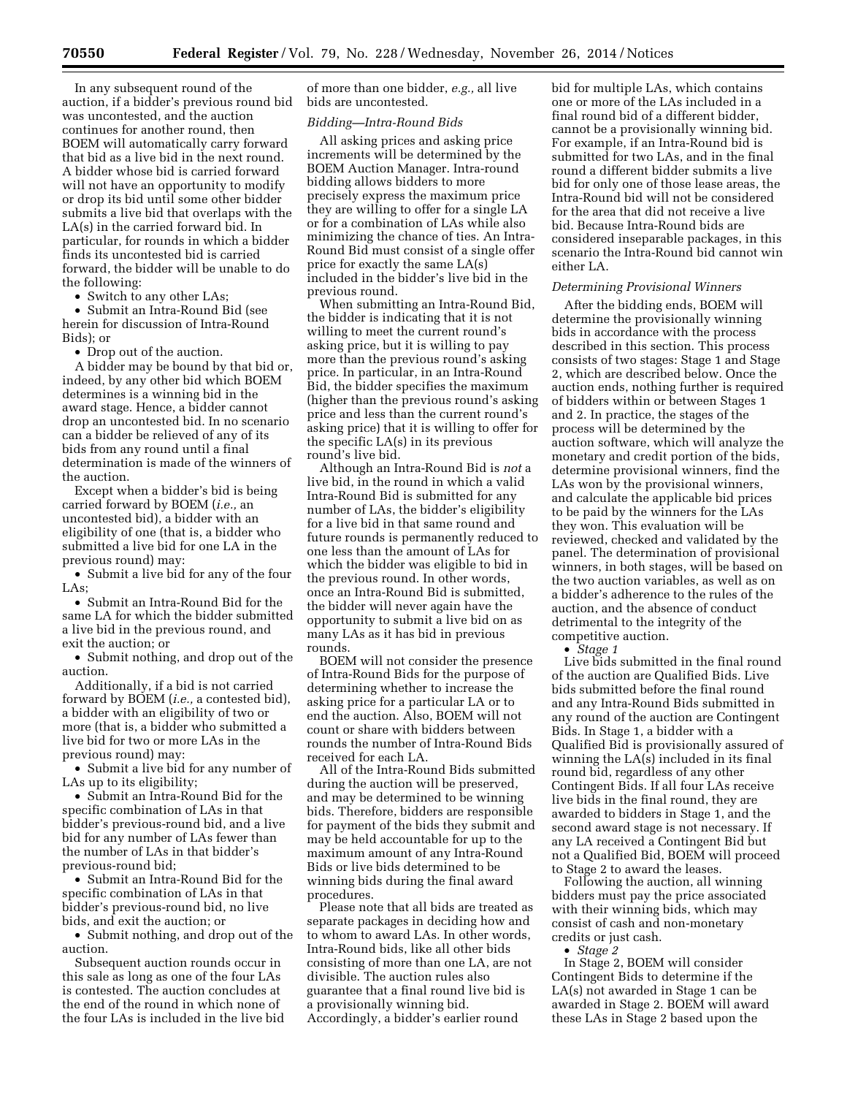In any subsequent round of the auction, if a bidder's previous round bid was uncontested, and the auction continues for another round, then BOEM will automatically carry forward that bid as a live bid in the next round. A bidder whose bid is carried forward will not have an opportunity to modify or drop its bid until some other bidder submits a live bid that overlaps with the LA(s) in the carried forward bid. In particular, for rounds in which a bidder finds its uncontested bid is carried forward, the bidder will be unable to do the following:

• Switch to any other LAs;

• Submit an Intra-Round Bid (see herein for discussion of Intra-Round Bids); or

• Drop out of the auction.

A bidder may be bound by that bid or, indeed, by any other bid which BOEM determines is a winning bid in the award stage. Hence, a bidder cannot drop an uncontested bid. In no scenario can a bidder be relieved of any of its bids from any round until a final determination is made of the winners of the auction.

Except when a bidder's bid is being carried forward by BOEM (*i.e.,* an uncontested bid), a bidder with an eligibility of one (that is, a bidder who submitted a live bid for one LA in the previous round) may:

• Submit a live bid for any of the four LAs;

• Submit an Intra-Round Bid for the same LA for which the bidder submitted a live bid in the previous round, and exit the auction; or

• Submit nothing, and drop out of the auction.

Additionally, if a bid is not carried forward by BOEM (*i.e.,* a contested bid), a bidder with an eligibility of two or more (that is, a bidder who submitted a live bid for two or more LAs in the previous round) may:

• Submit a live bid for any number of LAs up to its eligibility;

• Submit an Intra-Round Bid for the specific combination of LAs in that bidder's previous-round bid, and a live bid for any number of LAs fewer than the number of LAs in that bidder's previous-round bid;

• Submit an Intra-Round Bid for the specific combination of LAs in that bidder's previous-round bid, no live bids, and exit the auction; or

• Submit nothing, and drop out of the auction.

Subsequent auction rounds occur in this sale as long as one of the four LAs is contested. The auction concludes at the end of the round in which none of the four LAs is included in the live bid

of more than one bidder, *e.g.,* all live bids are uncontested.

#### *Bidding—Intra-Round Bids*

All asking prices and asking price increments will be determined by the BOEM Auction Manager. Intra-round bidding allows bidders to more precisely express the maximum price they are willing to offer for a single LA or for a combination of LAs while also minimizing the chance of ties. An Intra-Round Bid must consist of a single offer price for exactly the same LA(s) included in the bidder's live bid in the previous round.

When submitting an Intra-Round Bid, the bidder is indicating that it is not willing to meet the current round's asking price, but it is willing to pay more than the previous round's asking price. In particular, in an Intra-Round Bid, the bidder specifies the maximum (higher than the previous round's asking price and less than the current round's asking price) that it is willing to offer for the specific LA(s) in its previous round's live bid.

Although an Intra-Round Bid is *not* a live bid, in the round in which a valid Intra-Round Bid is submitted for any number of LAs, the bidder's eligibility for a live bid in that same round and future rounds is permanently reduced to one less than the amount of LAs for which the bidder was eligible to bid in the previous round. In other words, once an Intra-Round Bid is submitted, the bidder will never again have the opportunity to submit a live bid on as many LAs as it has bid in previous rounds.

BOEM will not consider the presence of Intra-Round Bids for the purpose of determining whether to increase the asking price for a particular LA or to end the auction. Also, BOEM will not count or share with bidders between rounds the number of Intra-Round Bids received for each LA.

All of the Intra-Round Bids submitted during the auction will be preserved, and may be determined to be winning bids. Therefore, bidders are responsible for payment of the bids they submit and may be held accountable for up to the maximum amount of any Intra-Round Bids or live bids determined to be winning bids during the final award procedures.

Please note that all bids are treated as separate packages in deciding how and to whom to award LAs. In other words, Intra-Round bids, like all other bids consisting of more than one LA, are not divisible. The auction rules also guarantee that a final round live bid is a provisionally winning bid. Accordingly, a bidder's earlier round

bid for multiple LAs, which contains one or more of the LAs included in a final round bid of a different bidder, cannot be a provisionally winning bid. For example, if an Intra-Round bid is submitted for two LAs, and in the final round a different bidder submits a live bid for only one of those lease areas, the Intra-Round bid will not be considered for the area that did not receive a live bid. Because Intra-Round bids are considered inseparable packages, in this scenario the Intra-Round bid cannot win either LA.

#### *Determining Provisional Winners*

After the bidding ends, BOEM will determine the provisionally winning bids in accordance with the process described in this section. This process consists of two stages: Stage 1 and Stage 2, which are described below. Once the auction ends, nothing further is required of bidders within or between Stages 1 and 2. In practice, the stages of the process will be determined by the auction software, which will analyze the monetary and credit portion of the bids, determine provisional winners, find the LAs won by the provisional winners, and calculate the applicable bid prices to be paid by the winners for the LAs they won. This evaluation will be reviewed, checked and validated by the panel. The determination of provisional winners, in both stages, will be based on the two auction variables, as well as on a bidder's adherence to the rules of the auction, and the absence of conduct detrimental to the integrity of the competitive auction.

• *Stage 1* 

Live bids submitted in the final round of the auction are Qualified Bids. Live bids submitted before the final round and any Intra-Round Bids submitted in any round of the auction are Contingent Bids. In Stage 1, a bidder with a Qualified Bid is provisionally assured of winning the LA(s) included in its final round bid, regardless of any other Contingent Bids. If all four LAs receive live bids in the final round, they are awarded to bidders in Stage 1, and the second award stage is not necessary. If any LA received a Contingent Bid but not a Qualified Bid, BOEM will proceed to Stage 2 to award the leases.

Following the auction, all winning bidders must pay the price associated with their winning bids, which may consist of cash and non-monetary credits or just cash.

• *Stage 2* 

In Stage 2, BOEM will consider Contingent Bids to determine if the LA(s) not awarded in Stage 1 can be awarded in Stage 2. BOEM will award these LAs in Stage 2 based upon the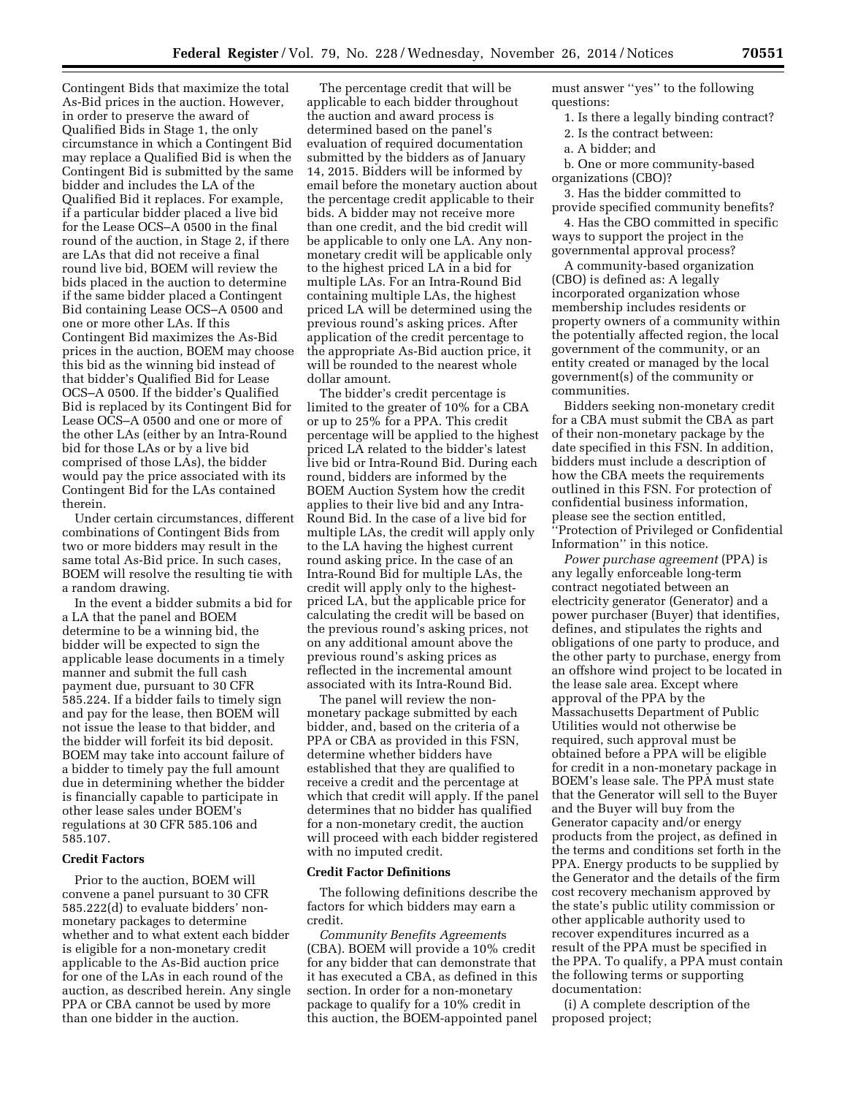Contingent Bids that maximize the total As-Bid prices in the auction. However, in order to preserve the award of Qualified Bids in Stage 1, the only circumstance in which a Contingent Bid may replace a Qualified Bid is when the Contingent Bid is submitted by the same bidder and includes the LA of the Qualified Bid it replaces. For example, if a particular bidder placed a live bid for the Lease OCS–A 0500 in the final round of the auction, in Stage 2, if there are LAs that did not receive a final round live bid, BOEM will review the bids placed in the auction to determine if the same bidder placed a Contingent Bid containing Lease OCS–A 0500 and one or more other LAs. If this Contingent Bid maximizes the As-Bid prices in the auction, BOEM may choose this bid as the winning bid instead of that bidder's Qualified Bid for Lease OCS–A 0500. If the bidder's Qualified Bid is replaced by its Contingent Bid for Lease OCS–A 0500 and one or more of the other LAs (either by an Intra-Round bid for those LAs or by a live bid comprised of those LAs), the bidder would pay the price associated with its Contingent Bid for the LAs contained therein.

Under certain circumstances, different combinations of Contingent Bids from two or more bidders may result in the same total As-Bid price. In such cases, BOEM will resolve the resulting tie with a random drawing.

In the event a bidder submits a bid for a LA that the panel and BOEM determine to be a winning bid, the bidder will be expected to sign the applicable lease documents in a timely manner and submit the full cash payment due, pursuant to 30 CFR 585.224. If a bidder fails to timely sign and pay for the lease, then BOEM will not issue the lease to that bidder, and the bidder will forfeit its bid deposit. BOEM may take into account failure of a bidder to timely pay the full amount due in determining whether the bidder is financially capable to participate in other lease sales under BOEM's regulations at 30 CFR 585.106 and 585.107.

## **Credit Factors**

Prior to the auction, BOEM will convene a panel pursuant to 30 CFR 585.222(d) to evaluate bidders' nonmonetary packages to determine whether and to what extent each bidder is eligible for a non-monetary credit applicable to the As-Bid auction price for one of the LAs in each round of the auction, as described herein. Any single PPA or CBA cannot be used by more than one bidder in the auction.

The percentage credit that will be applicable to each bidder throughout the auction and award process is determined based on the panel's evaluation of required documentation submitted by the bidders as of January 14, 2015. Bidders will be informed by email before the monetary auction about the percentage credit applicable to their bids. A bidder may not receive more than one credit, and the bid credit will be applicable to only one LA. Any nonmonetary credit will be applicable only to the highest priced LA in a bid for multiple LAs. For an Intra-Round Bid containing multiple LAs, the highest priced LA will be determined using the previous round's asking prices. After application of the credit percentage to the appropriate As-Bid auction price, it will be rounded to the nearest whole dollar amount.

The bidder's credit percentage is limited to the greater of 10% for a CBA or up to 25% for a PPA. This credit percentage will be applied to the highest priced LA related to the bidder's latest live bid or Intra-Round Bid. During each round, bidders are informed by the BOEM Auction System how the credit applies to their live bid and any Intra-Round Bid. In the case of a live bid for multiple LAs, the credit will apply only to the LA having the highest current round asking price. In the case of an Intra-Round Bid for multiple LAs, the credit will apply only to the highestpriced LA, but the applicable price for calculating the credit will be based on the previous round's asking prices, not on any additional amount above the previous round's asking prices as reflected in the incremental amount associated with its Intra-Round Bid.

The panel will review the nonmonetary package submitted by each bidder, and, based on the criteria of a PPA or CBA as provided in this FSN, determine whether bidders have established that they are qualified to receive a credit and the percentage at which that credit will apply. If the panel determines that no bidder has qualified for a non-monetary credit, the auction will proceed with each bidder registered with no imputed credit.

#### **Credit Factor Definitions**

The following definitions describe the factors for which bidders may earn a credit.

*Community Benefits Agreement*s (CBA). BOEM will provide a 10% credit for any bidder that can demonstrate that it has executed a CBA, as defined in this section. In order for a non-monetary package to qualify for a 10% credit in this auction, the BOEM-appointed panel must answer ''yes'' to the following questions:

- 1. Is there a legally binding contract?
- 2. Is the contract between:
- a. A bidder; and
- b. One or more community-based organizations (CBO)?

3. Has the bidder committed to provide specified community benefits?

4. Has the CBO committed in specific ways to support the project in the governmental approval process?

A community-based organization (CBO) is defined as: A legally incorporated organization whose membership includes residents or property owners of a community within the potentially affected region, the local government of the community, or an entity created or managed by the local government(s) of the community or communities.

Bidders seeking non-monetary credit for a CBA must submit the CBA as part of their non-monetary package by the date specified in this FSN. In addition, bidders must include a description of how the CBA meets the requirements outlined in this FSN. For protection of confidential business information, please see the section entitled, ''Protection of Privileged or Confidential Information'' in this notice.

*Power purchase agreement* (PPA) is any legally enforceable long-term contract negotiated between an electricity generator (Generator) and a power purchaser (Buyer) that identifies, defines, and stipulates the rights and obligations of one party to produce, and the other party to purchase, energy from an offshore wind project to be located in the lease sale area. Except where approval of the PPA by the Massachusetts Department of Public Utilities would not otherwise be required, such approval must be obtained before a PPA will be eligible for credit in a non-monetary package in BOEM's lease sale. The PPA must state that the Generator will sell to the Buyer and the Buyer will buy from the Generator capacity and/or energy products from the project, as defined in the terms and conditions set forth in the PPA. Energy products to be supplied by the Generator and the details of the firm cost recovery mechanism approved by the state's public utility commission or other applicable authority used to recover expenditures incurred as a result of the PPA must be specified in the PPA. To qualify, a PPA must contain the following terms or supporting documentation:

(i) A complete description of the proposed project;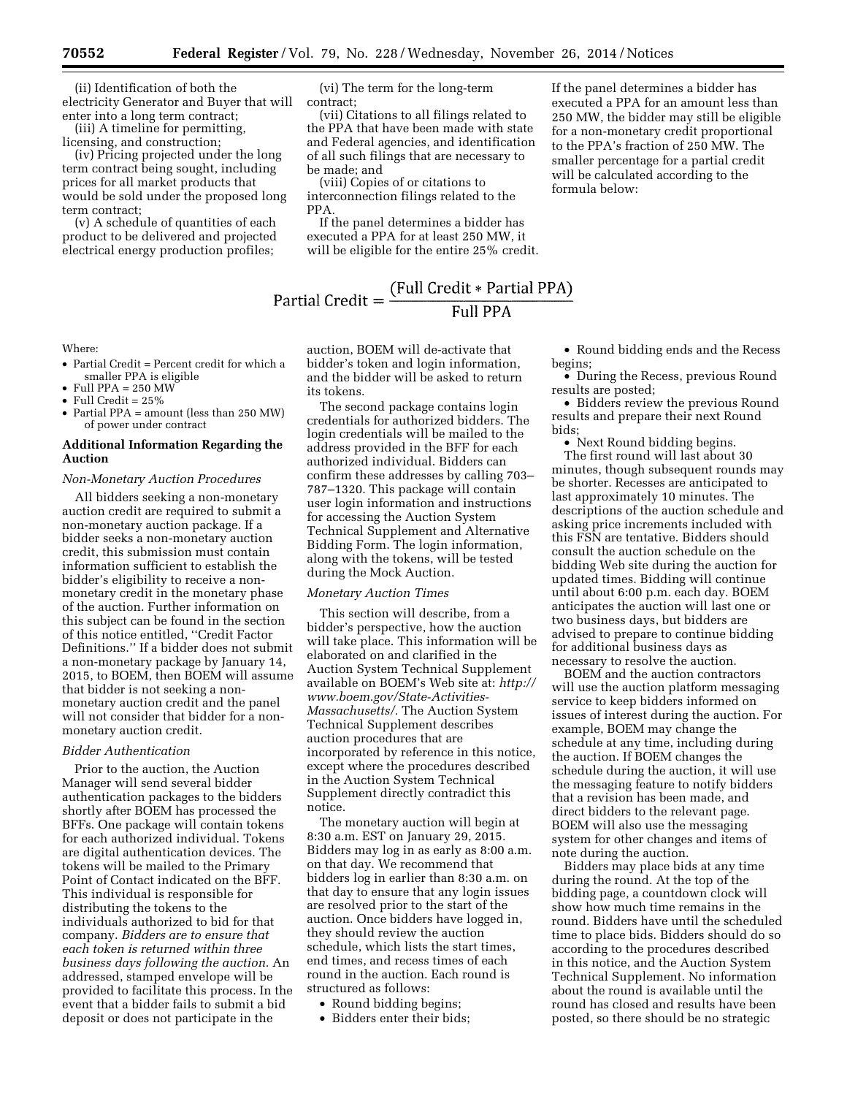(ii) Identification of both the electricity Generator and Buyer that will enter into a long term contract;

(iii) A timeline for permitting, licensing, and construction;

(iv) Pricing projected under the long term contract being sought, including prices for all market products that would be sold under the proposed long term contract;

(v) A schedule of quantities of each product to be delivered and projected electrical energy production profiles;

(vi) The term for the long-term contract;

(vii) Citations to all filings related to the PPA that have been made with state and Federal agencies, and identification of all such filings that are necessary to be made; and

(viii) Copies of or citations to interconnection filings related to the PPA.

If the panel determines a bidder has executed a PPA for at least 250 MW, it will be eligible for the entire 25% credit.

# Partial Credit =  $\frac{\text{(Full Credit * Partial PPA)}}{\text{Full PPA}}$

Where:

- Partial Credit = Percent credit for which a smaller PPA is eligible
- $\bullet$  Full PPA = 250 MW
- Full Credit = 25%
- Partial PPA = amount (less than 250 MW) of power under contract

## **Additional Information Regarding the Auction**

#### *Non-Monetary Auction Procedures*

All bidders seeking a non-monetary auction credit are required to submit a non-monetary auction package. If a bidder seeks a non-monetary auction credit, this submission must contain information sufficient to establish the bidder's eligibility to receive a nonmonetary credit in the monetary phase of the auction. Further information on this subject can be found in the section of this notice entitled, ''Credit Factor Definitions.'' If a bidder does not submit a non-monetary package by January 14, 2015, to BOEM, then BOEM will assume that bidder is not seeking a nonmonetary auction credit and the panel will not consider that bidder for a nonmonetary auction credit.

#### *Bidder Authentication*

Prior to the auction, the Auction Manager will send several bidder authentication packages to the bidders shortly after BOEM has processed the BFFs. One package will contain tokens for each authorized individual. Tokens are digital authentication devices. The tokens will be mailed to the Primary Point of Contact indicated on the BFF. This individual is responsible for distributing the tokens to the individuals authorized to bid for that company. *Bidders are to ensure that each token is returned within three business days following the auction.* An addressed, stamped envelope will be provided to facilitate this process. In the event that a bidder fails to submit a bid deposit or does not participate in the

auction, BOEM will de-activate that bidder's token and login information, and the bidder will be asked to return its tokens.

The second package contains login credentials for authorized bidders. The login credentials will be mailed to the address provided in the BFF for each authorized individual. Bidders can confirm these addresses by calling 703– 787–1320. This package will contain user login information and instructions for accessing the Auction System Technical Supplement and Alternative Bidding Form. The login information, along with the tokens, will be tested during the Mock Auction.

#### *Monetary Auction Times*

This section will describe, from a bidder's perspective, how the auction will take place. This information will be elaborated on and clarified in the Auction System Technical Supplement available on BOEM's Web site at: *[http://](http://www.boem.gov/State-Activities-Massachusetts/) [www.boem.gov/State-Activities-](http://www.boem.gov/State-Activities-Massachusetts/)[Massachusetts/.](http://www.boem.gov/State-Activities-Massachusetts/)* The Auction System Technical Supplement describes auction procedures that are incorporated by reference in this notice, except where the procedures described in the Auction System Technical Supplement directly contradict this notice.

The monetary auction will begin at 8:30 a.m. EST on January 29, 2015. Bidders may log in as early as 8:00 a.m. on that day. We recommend that bidders log in earlier than 8:30 a.m. on that day to ensure that any login issues are resolved prior to the start of the auction. Once bidders have logged in, they should review the auction schedule, which lists the start times, end times, and recess times of each round in the auction. Each round is structured as follows:

- Round bidding begins;
- Bidders enter their bids;

• Round bidding ends and the Recess begins;

If the panel determines a bidder has executed a PPA for an amount less than 250 MW, the bidder may still be eligible for a non-monetary credit proportional to the PPA's fraction of 250 MW. The smaller percentage for a partial credit will be calculated according to the

formula below:

• During the Recess, previous Round results are posted;

• Bidders review the previous Round results and prepare their next Round bids;

• Next Round bidding begins. The first round will last about 30 minutes, though subsequent rounds may be shorter. Recesses are anticipated to last approximately 10 minutes. The descriptions of the auction schedule and asking price increments included with this FSN are tentative. Bidders should consult the auction schedule on the bidding Web site during the auction for updated times. Bidding will continue until about 6:00 p.m. each day. BOEM anticipates the auction will last one or two business days, but bidders are advised to prepare to continue bidding for additional business days as necessary to resolve the auction.

BOEM and the auction contractors will use the auction platform messaging service to keep bidders informed on issues of interest during the auction. For example, BOEM may change the schedule at any time, including during the auction. If BOEM changes the schedule during the auction, it will use the messaging feature to notify bidders that a revision has been made, and direct bidders to the relevant page. BOEM will also use the messaging system for other changes and items of note during the auction.

Bidders may place bids at any time during the round. At the top of the bidding page, a countdown clock will show how much time remains in the round. Bidders have until the scheduled time to place bids. Bidders should do so according to the procedures described in this notice, and the Auction System Technical Supplement. No information about the round is available until the round has closed and results have been posted, so there should be no strategic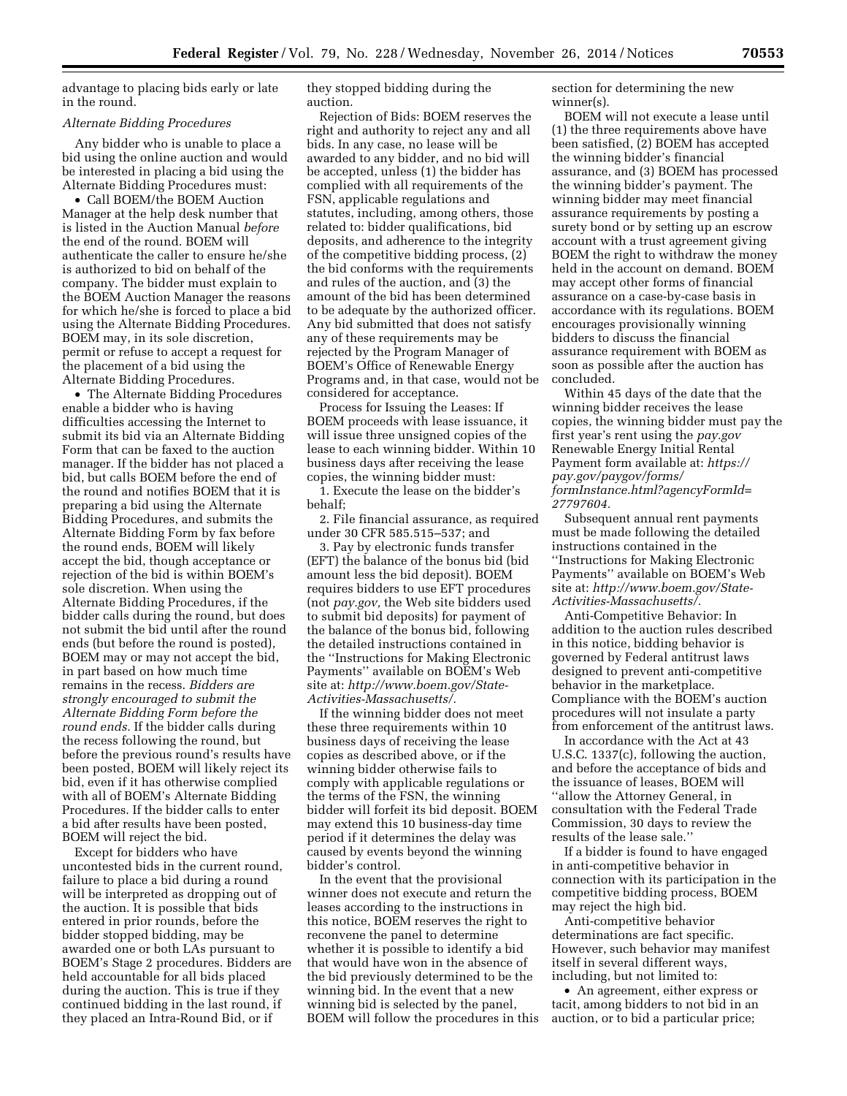advantage to placing bids early or late in the round.

#### *Alternate Bidding Procedures*

Any bidder who is unable to place a bid using the online auction and would be interested in placing a bid using the Alternate Bidding Procedures must:

• Call BOEM/the BOEM Auction Manager at the help desk number that is listed in the Auction Manual *before*  the end of the round. BOEM will authenticate the caller to ensure he/she is authorized to bid on behalf of the company. The bidder must explain to the BOEM Auction Manager the reasons for which he/she is forced to place a bid using the Alternate Bidding Procedures. BOEM may, in its sole discretion, permit or refuse to accept a request for the placement of a bid using the Alternate Bidding Procedures.

• The Alternate Bidding Procedures enable a bidder who is having difficulties accessing the Internet to submit its bid via an Alternate Bidding Form that can be faxed to the auction manager. If the bidder has not placed a bid, but calls BOEM before the end of the round and notifies BOEM that it is preparing a bid using the Alternate Bidding Procedures, and submits the Alternate Bidding Form by fax before the round ends, BOEM will likely accept the bid, though acceptance or rejection of the bid is within BOEM's sole discretion. When using the Alternate Bidding Procedures, if the bidder calls during the round, but does not submit the bid until after the round ends (but before the round is posted), BOEM may or may not accept the bid, in part based on how much time remains in the recess. *Bidders are strongly encouraged to submit the Alternate Bidding Form before the round ends.* If the bidder calls during the recess following the round, but before the previous round's results have been posted, BOEM will likely reject its bid, even if it has otherwise complied with all of BOEM's Alternate Bidding Procedures. If the bidder calls to enter a bid after results have been posted, BOEM will reject the bid.

Except for bidders who have uncontested bids in the current round, failure to place a bid during a round will be interpreted as dropping out of the auction. It is possible that bids entered in prior rounds, before the bidder stopped bidding, may be awarded one or both LAs pursuant to BOEM's Stage 2 procedures. Bidders are held accountable for all bids placed during the auction. This is true if they continued bidding in the last round, if they placed an Intra-Round Bid, or if

they stopped bidding during the auction.

Rejection of Bids: BOEM reserves the right and authority to reject any and all bids. In any case, no lease will be awarded to any bidder, and no bid will be accepted, unless (1) the bidder has complied with all requirements of the FSN, applicable regulations and statutes, including, among others, those related to: bidder qualifications, bid deposits, and adherence to the integrity of the competitive bidding process, (2) the bid conforms with the requirements and rules of the auction, and (3) the amount of the bid has been determined to be adequate by the authorized officer. Any bid submitted that does not satisfy any of these requirements may be rejected by the Program Manager of BOEM's Office of Renewable Energy Programs and, in that case, would not be considered for acceptance.

Process for Issuing the Leases: If BOEM proceeds with lease issuance, it will issue three unsigned copies of the lease to each winning bidder. Within 10 business days after receiving the lease copies, the winning bidder must:

1. Execute the lease on the bidder's behalf;

2. File financial assurance, as required under 30 CFR 585.515–537; and

3. Pay by electronic funds transfer (EFT) the balance of the bonus bid (bid amount less the bid deposit). BOEM requires bidders to use EFT procedures (not *pay.gov,* the Web site bidders used to submit bid deposits) for payment of the balance of the bonus bid, following the detailed instructions contained in the ''Instructions for Making Electronic Payments'' available on BOEM's Web site at: *[http://www.boem.gov/State-](http://www.boem.gov/State-Activities-Massachusetts/)[Activities-Massachusetts/.](http://www.boem.gov/State-Activities-Massachusetts/)* 

If the winning bidder does not meet these three requirements within 10 business days of receiving the lease copies as described above, or if the winning bidder otherwise fails to comply with applicable regulations or the terms of the FSN, the winning bidder will forfeit its bid deposit. BOEM may extend this 10 business-day time period if it determines the delay was caused by events beyond the winning bidder's control.

In the event that the provisional winner does not execute and return the leases according to the instructions in this notice, BOEM reserves the right to reconvene the panel to determine whether it is possible to identify a bid that would have won in the absence of the bid previously determined to be the winning bid. In the event that a new winning bid is selected by the panel, BOEM will follow the procedures in this section for determining the new winner(s).

BOEM will not execute a lease until (1) the three requirements above have been satisfied, (2) BOEM has accepted the winning bidder's financial assurance, and (3) BOEM has processed the winning bidder's payment. The winning bidder may meet financial assurance requirements by posting a surety bond or by setting up an escrow account with a trust agreement giving BOEM the right to withdraw the money held in the account on demand. BOEM may accept other forms of financial assurance on a case-by-case basis in accordance with its regulations. BOEM encourages provisionally winning bidders to discuss the financial assurance requirement with BOEM as soon as possible after the auction has concluded.

Within 45 days of the date that the winning bidder receives the lease copies, the winning bidder must pay the first year's rent using the *pay.gov*  Renewable Energy Initial Rental Payment form available at: *[https://](https://pay.gov/paygov/forms/formInstance.html?agencyFormId=27797604) [pay.gov/paygov/forms/](https://pay.gov/paygov/forms/formInstance.html?agencyFormId=27797604) [formInstance.html?agencyFormId=](https://pay.gov/paygov/forms/formInstance.html?agencyFormId=27797604) [27797604.](https://pay.gov/paygov/forms/formInstance.html?agencyFormId=27797604)* 

Subsequent annual rent payments must be made following the detailed instructions contained in the ''Instructions for Making Electronic Payments'' available on BOEM's Web site at: *[http://www.boem.gov/State-](http://www.boem.gov/State-Activities-Massachusetts/)[Activities-Massachusetts/.](http://www.boem.gov/State-Activities-Massachusetts/)* 

Anti-Competitive Behavior: In addition to the auction rules described in this notice, bidding behavior is governed by Federal antitrust laws designed to prevent anti-competitive behavior in the marketplace. Compliance with the BOEM's auction procedures will not insulate a party from enforcement of the antitrust laws.

In accordance with the Act at 43 U.S.C. 1337(c), following the auction, and before the acceptance of bids and the issuance of leases, BOEM will ''allow the Attorney General, in consultation with the Federal Trade Commission, 30 days to review the results of the lease sale.''

If a bidder is found to have engaged in anti-competitive behavior in connection with its participation in the competitive bidding process, BOEM may reject the high bid.

Anti-competitive behavior determinations are fact specific. However, such behavior may manifest itself in several different ways, including, but not limited to:

• An agreement, either express or tacit, among bidders to not bid in an auction, or to bid a particular price;